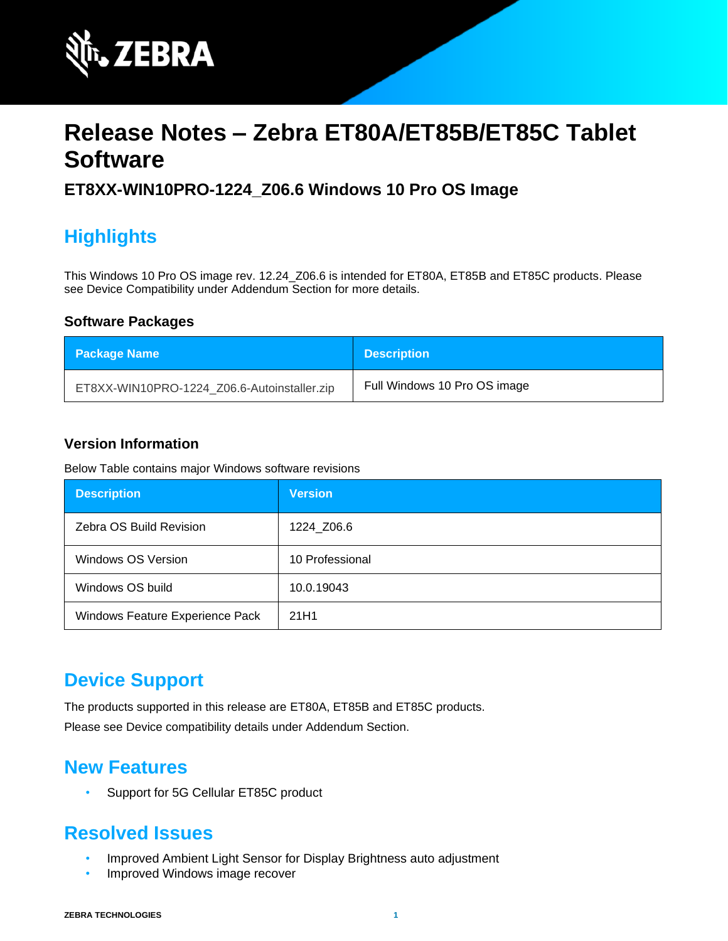

# **Release Notes – Zebra ET80A/ET85B/ET85C Tablet Software**

#### **ET8XX-WIN10PRO-1224\_Z06.6 Windows 10 Pro OS Image**

# **Highlights**

This Windows 10 Pro OS image rev. 12.24\_Z06.6 is intended for ET80A, ET85B and ET85C products. Please see Device Compatibility under Addendum Section for more details.

#### **Software Packages**

| <b>Package Name</b>                         | <b>Description</b>           |
|---------------------------------------------|------------------------------|
| ET8XX-WIN10PRO-1224_Z06.6-Autoinstaller.zip | Full Windows 10 Pro OS image |

#### **Version Information**

Below Table contains major Windows software revisions

| <b>Description</b>              | <b>Version</b>  |
|---------------------------------|-----------------|
| Zebra OS Build Revision         | 1224 Z06.6      |
| Windows OS Version              | 10 Professional |
| Windows OS build                | 10.0.19043      |
| Windows Feature Experience Pack | 21H1            |

#### **Device Support**

The products supported in this release are ET80A, ET85B and ET85C products.

Please see Device compatibility details under Addendum Section.

#### **New Features**

• Support for 5G Cellular ET85C product

#### **Resolved Issues**

- Improved Ambient Light Sensor for Display Brightness auto adjustment
- Improved Windows image recover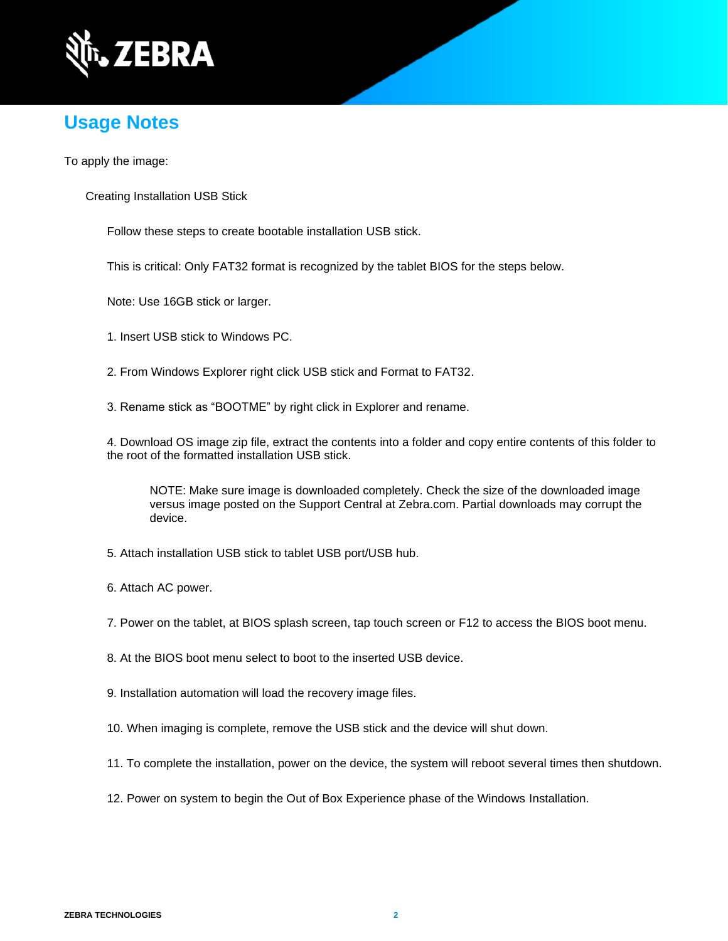

# **Usage Notes**

To apply the image:

Creating Installation USB Stick

Follow these steps to create bootable installation USB stick.

This is critical: Only FAT32 format is recognized by the tablet BIOS for the steps below.

Note: Use 16GB stick or larger.

1. Insert USB stick to Windows PC.

2. From Windows Explorer right click USB stick and Format to FAT32.

3. Rename stick as "BOOTME" by right click in Explorer and rename.

4. Download OS image zip file, extract the contents into a folder and copy entire contents of this folder to the root of the formatted installation USB stick.

NOTE: Make sure image is downloaded completely. Check the size of the downloaded image versus image posted on the Support Central at Zebra.com. Partial downloads may corrupt the device.

5. Attach installation USB stick to tablet USB port/USB hub.

6. Attach AC power.

7. Power on the tablet, at BIOS splash screen, tap touch screen or F12 to access the BIOS boot menu.

8. At the BIOS boot menu select to boot to the inserted USB device.

- 9. Installation automation will load the recovery image files.
- 10. When imaging is complete, remove the USB stick and the device will shut down.
- 11. To complete the installation, power on the device, the system will reboot several times then shutdown.
- 12. Power on system to begin the Out of Box Experience phase of the Windows Installation.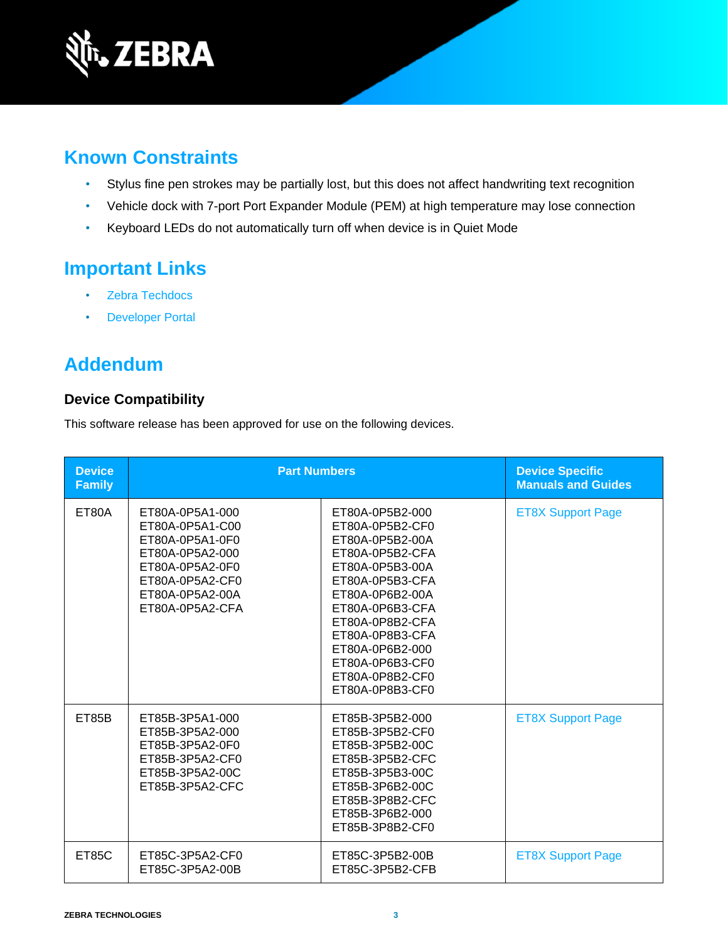

# **Known Constraints**

- Stylus fine pen strokes may be partially lost, but this does not affect handwriting text recognition
- Vehicle dock with 7-port Port Expander Module (PEM) at high temperature may lose connection
- Keyboard LEDs do not automatically turn off when device is in Quiet Mode

# **Important Links**

- [Zebra Techdocs](http://techdocs.zebra.com/)
- **[Developer Portal](http://developer.zebra.com/)**

# **Addendum**

#### **Device Compatibility**

This software release has been approved for use on the following devices.

| <b>Device</b><br><b>Family</b> | <b>Part Numbers</b>                                                                                                                                  |                                                                                                                                                                                                                                                                        | <b>Device Specific</b><br><b>Manuals and Guides</b> |
|--------------------------------|------------------------------------------------------------------------------------------------------------------------------------------------------|------------------------------------------------------------------------------------------------------------------------------------------------------------------------------------------------------------------------------------------------------------------------|-----------------------------------------------------|
| <b>ET80A</b>                   | ET80A-0P5A1-000<br>ET80A-0P5A1-C00<br>ET80A-0P5A1-0F0<br>ET80A-0P5A2-000<br>ET80A-0P5A2-0F0<br>ET80A-0P5A2-CF0<br>ET80A-0P5A2-00A<br>ET80A-0P5A2-CFA | ET80A-0P5B2-000<br>ET80A-0P5B2-CF0<br>ET80A-0P5B2-00A<br>ET80A-0P5B2-CFA<br>ET80A-0P5B3-00A<br>ET80A-0P5B3-CFA<br>ET80A-0P6B2-00A<br>ET80A-0P6B3-CFA<br>ET80A-0P8B2-CFA<br>ET80A-0P8B3-CFA<br>ET80A-0P6B2-000<br>ET80A-0P6B3-CF0<br>ET80A-0P8B2-CF0<br>ET80A-0P8B3-CF0 | <b>ET8X Support Page</b>                            |
| ET85B                          | ET85B-3P5A1-000<br>ET85B-3P5A2-000<br>ET85B-3P5A2-0F0<br>ET85B-3P5A2-CF0<br>ET85B-3P5A2-00C<br>ET85B-3P5A2-CFC                                       | ET85B-3P5B2-000<br>ET85B-3P5B2-CF0<br>ET85B-3P5B2-00C<br>ET85B-3P5B2-CFC<br>ET85B-3P5B3-00C<br>ET85B-3P6B2-00C<br>ET85B-3P8B2-CFC<br>ET85B-3P6B2-000<br>ET85B-3P8B2-CF0                                                                                                | <b>ET8X Support Page</b>                            |
| <b>ET85C</b>                   | ET85C-3P5A2-CF0<br>ET85C-3P5A2-00B                                                                                                                   | ET85C-3P5B2-00B<br>ET85C-3P5B2-CFB                                                                                                                                                                                                                                     | <b>ET8X Support Page</b>                            |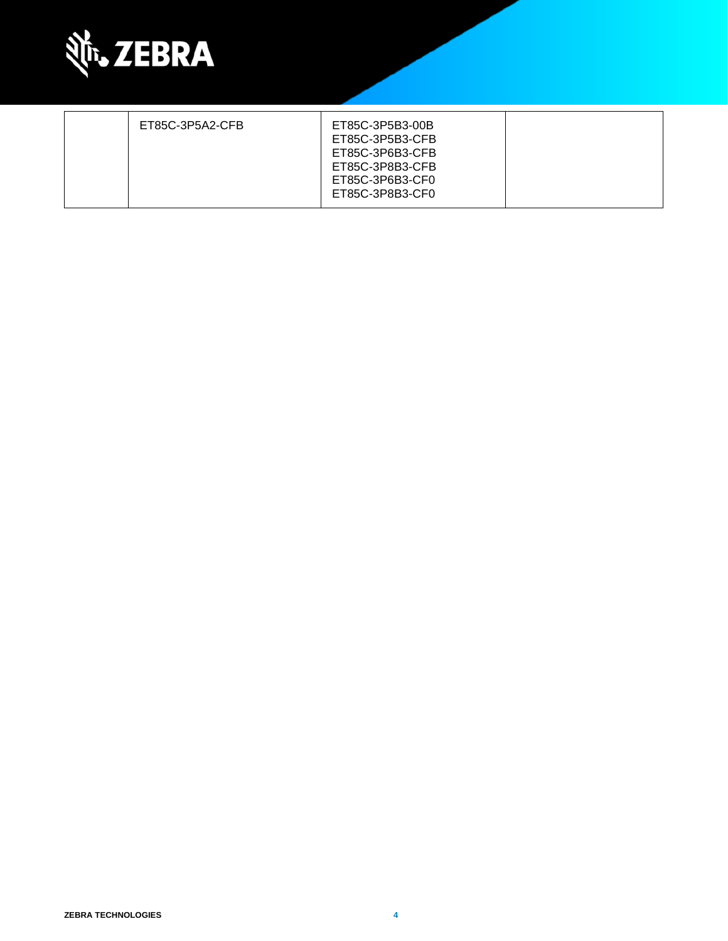

| ET85C-3P5A2-CFB | ET85C-3P5B3-00B<br>ET85C-3P5B3-CFB<br>ET85C-3P6B3-CFB<br>ET85C-3P8B3-CFB<br>ET85C-3P6B3-CF0 |  |
|-----------------|---------------------------------------------------------------------------------------------|--|
|                 | ET85C-3P8B3-CF0                                                                             |  |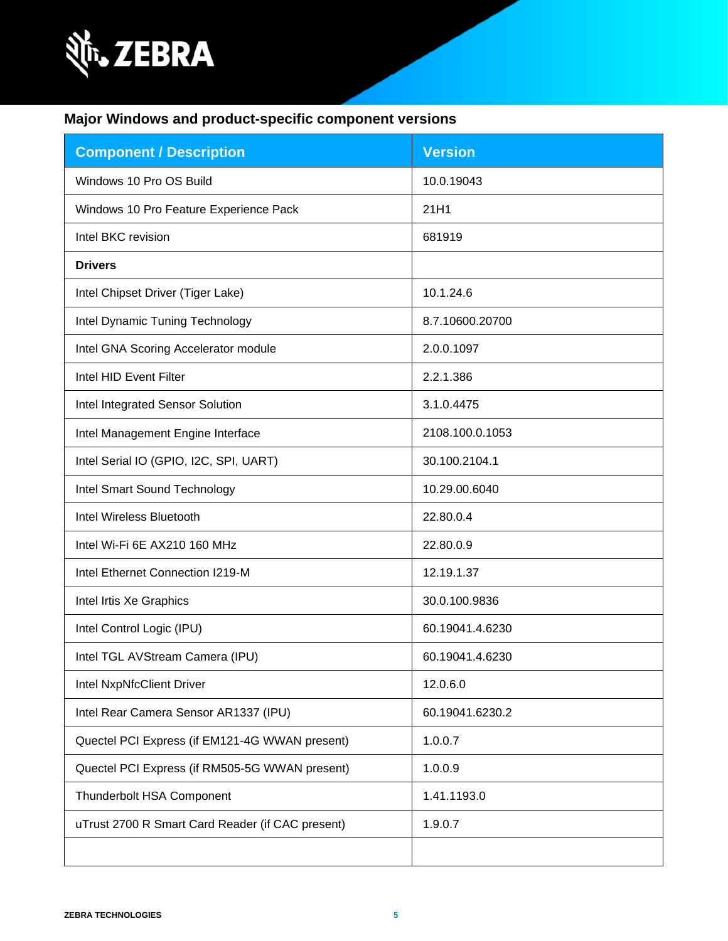

### **Major Windows and product-specific component versions**

| <b>Component / Description</b>                   | <b>Version</b>  |
|--------------------------------------------------|-----------------|
| Windows 10 Pro OS Build                          | 10.0.19043      |
| Windows 10 Pro Feature Experience Pack           | 21H1            |
| Intel BKC revision                               | 681919          |
| <b>Drivers</b>                                   |                 |
| Intel Chipset Driver (Tiger Lake)                | 10.1.24.6       |
| Intel Dynamic Tuning Technology                  | 8.7.10600.20700 |
| Intel GNA Scoring Accelerator module             | 2.0.0.1097      |
| Intel HID Event Filter                           | 2.2.1.386       |
| Intel Integrated Sensor Solution                 | 3.1.0.4475      |
| Intel Management Engine Interface                | 2108.100.0.1053 |
| Intel Serial IO (GPIO, I2C, SPI, UART)           | 30.100.2104.1   |
| Intel Smart Sound Technology                     | 10.29.00.6040   |
| Intel Wireless Bluetooth                         | 22.80.0.4       |
| Intel Wi-Fi 6E AX210 160 MHz                     | 22.80.0.9       |
| Intel Ethernet Connection I219-M                 | 12.19.1.37      |
| Intel Irtis Xe Graphics                          | 30.0.100.9836   |
| Intel Control Logic (IPU)                        | 60.19041.4.6230 |
| Intel TGL AVStream Camera (IPU)                  | 60.19041.4.6230 |
| <b>Intel NxpNfcClient Driver</b>                 | 12.0.6.0        |
| Intel Rear Camera Sensor AR1337 (IPU)            | 60.19041.6230.2 |
| Quectel PCI Express (if EM121-4G WWAN present)   | 1.0.0.7         |
| Quectel PCI Express (if RM505-5G WWAN present)   | 1.0.0.9         |
| Thunderbolt HSA Component                        | 1.41.1193.0     |
| uTrust 2700 R Smart Card Reader (if CAC present) | 1.9.0.7         |
|                                                  |                 |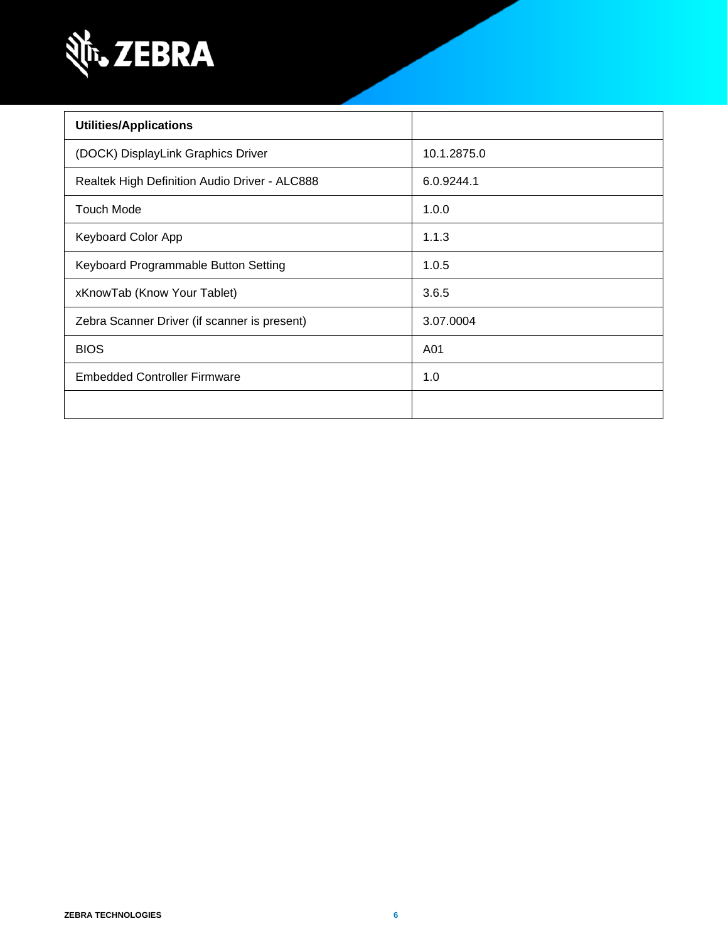

| <b>Utilities/Applications</b>                 |             |
|-----------------------------------------------|-------------|
| (DOCK) DisplayLink Graphics Driver            | 10.1.2875.0 |
| Realtek High Definition Audio Driver - ALC888 | 6.0.9244.1  |
| <b>Touch Mode</b>                             | 1.0.0       |
| <b>Keyboard Color App</b>                     | 1.1.3       |
| Keyboard Programmable Button Setting          | 1.0.5       |
| xKnowTab (Know Your Tablet)                   | 3.6.5       |
| Zebra Scanner Driver (if scanner is present)  | 3.07.0004   |
| <b>BIOS</b>                                   | A01         |
| <b>Embedded Controller Firmware</b>           | 1.0         |
|                                               |             |